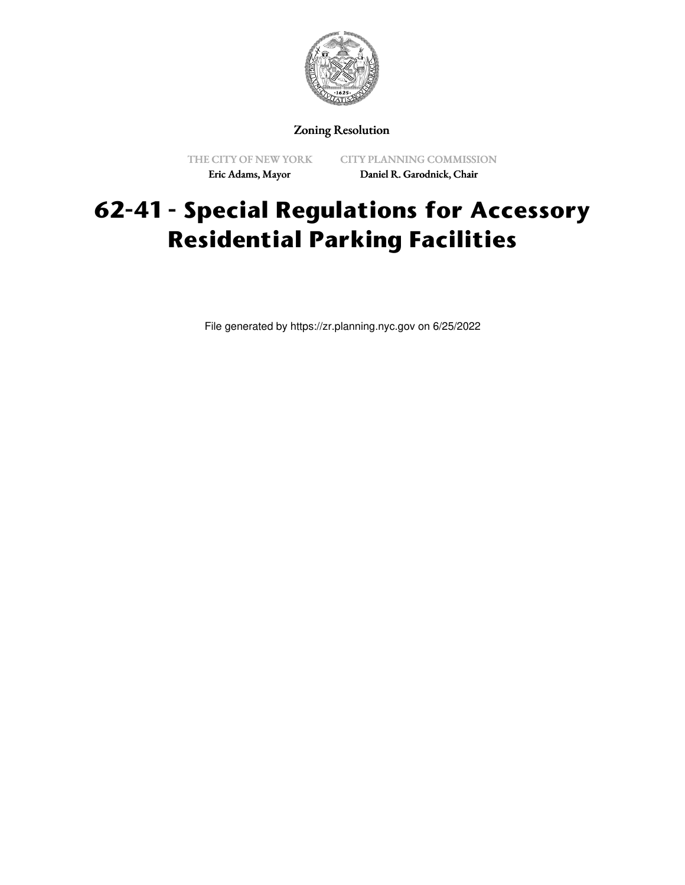

### Zoning Resolution

THE CITY OF NEW YORK Eric Adams, Mayor

CITY PLANNING COMMISSION Daniel R. Garodnick, Chair

# **62-41 - Special Regulations for Accessory Residential Parking Facilities**

File generated by https://zr.planning.nyc.gov on 6/25/2022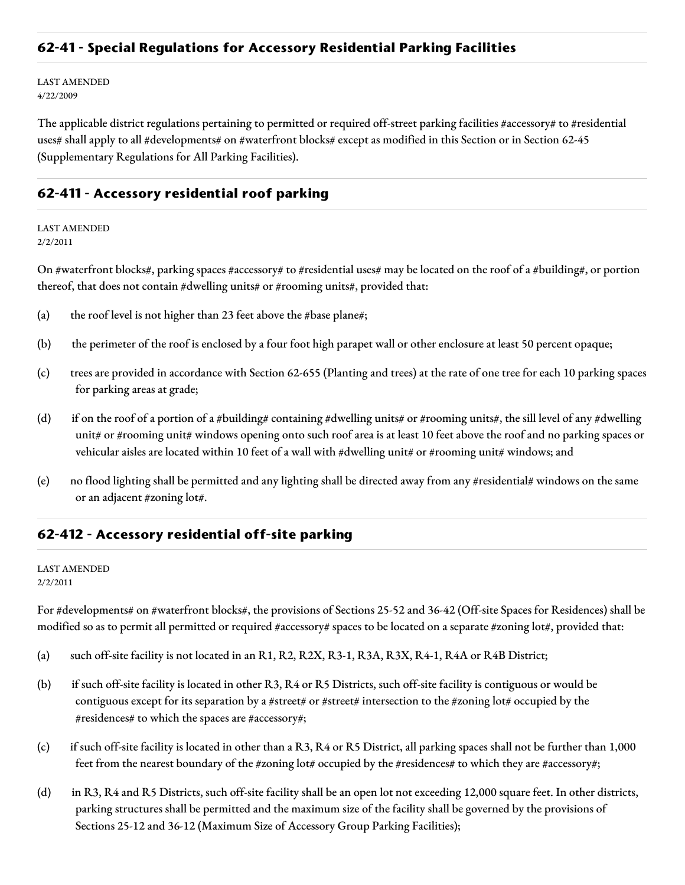### **62-41 - Special Regulations for Accessory Residential Parking Facilities**

LAST AMENDED 4/22/2009

The applicable district regulations pertaining to permitted or required off-street parking facilities #accessory# to #residential uses# shall apply to all #developments# on #waterfront blocks# except as modified in this Section or in Section 62-45 (Supplementary Regulations for All Parking Facilities).

## **62-411 - Accessory residential roof parking**

LAST AMENDED 2/2/2011

On #waterfront blocks#, parking spaces #accessory# to #residential uses# may be located on the roof of a #building#, or portion thereof, that does not contain #dwelling units# or #rooming units#, provided that:

- (a) the roof level is not higher than 23 feet above the #base plane#;
- (b) the perimeter of the roof is enclosed by a four foot high parapet wall or other enclosure at least 50 percent opaque;
- (c) trees are provided in accordance with Section 62-655 (Planting and trees) at the rate of one tree for each 10 parking spaces for parking areas at grade;
- (d) if on the roof of a portion of a #building# containing #dwelling units# or #rooming units#, the sill level of any #dwelling unit# or #rooming unit# windows opening onto such roof area is at least 10 feet above the roof and no parking spaces or vehicular aisles are located within 10 feet of a wall with #dwelling unit# or #rooming unit# windows; and
- (e) no flood lighting shall be permitted and any lighting shall be directed away from any #residential# windows on the same or an adjacent #zoning lot#.

#### **62-412 - Accessory residential off-site parking**

#### LAST AMENDED 2/2/2011

For #developments# on #waterfront blocks#, the provisions of Sections 25-52 and 36-42 (Off-site Spaces for Residences) shall be modified so as to permit all permitted or required #accessory# spaces to be located on a separate #zoning lot#, provided that:

- (a) such off-site facility is not located in an R1, R2, R2X, R3-1, R3A, R3X, R4-1, R4A or R4B District;
- (b) if such off-site facility is located in other R3, R4 or R5 Districts, such off-site facility is contiguous or would be contiguous except for its separation by a #street# or #street# intersection to the #zoning lot# occupied by the #residences# to which the spaces are #accessory#;
- (c) if such off-site facility is located in other than a R3, R4 or R5 District, all parking spaces shall not be further than 1,000 feet from the nearest boundary of the #zoning lot# occupied by the #residences# to which they are #accessory#;
- (d) in R3, R4 and R5 Districts, such off-site facility shall be an open lot not exceeding 12,000 square feet. In other districts, parking structures shall be permitted and the maximum size of the facility shall be governed by the provisions of Sections 25-12 and 36-12 (Maximum Size of Accessory Group Parking Facilities);